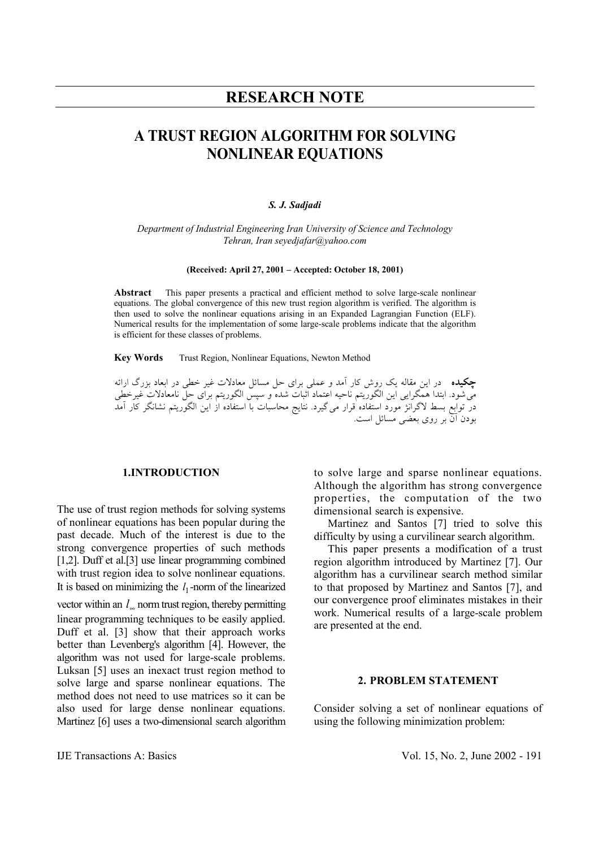# **RESEARCH NOTE**

# **A TRUST REGION ALGORITHM FOR SOLVING NONLINEAR EQUATIONS**

#### *S. J. Sadjadi*

*Department of Industrial Engineering Iran University of Science and Technology Tehran, Iran seyedjafar@yahoo.com* 

#### **(Received: April 27, 2001 – Accepted: October 18, 2001)**

**Abstract** This paper presents a practical and efficient method to solve large-scale nonlinear equations. The global convergence of this new trust region algorithm is verified. The algorithm is then used to solve the nonlinear equations arising in an Expanded Lagrangian Function (ELF). Numerical results for the implementation of some large-scale problems indicate that the algorithm is efficient for these classes of problems.

**Key Words** Trust Region, Nonlinear Equations, Newton Method

**چكيده** در اين مقاله يك روش كار آمد و عملي براي حل مسائل معادلات غير خطي در ابعاد بزرگ ارائه ميشود. ابتدا همگرايي اين الگوريتم ناحيه اعتماد اثبات شده و سپس الگوريتم براي حل نامعادلات غيرخطي در توابع بسط لاگرانژ مورد استفاده قرار ميگيرد. نتايج محاسبات با استفاده از اين الگوريتم نشانگر كار آمد بودن آن بر روي بعضي مسائل است.

# **1.INTRODUCTION**

The use of trust region methods for solving systems of nonlinear equations has been popular during the past decade. Much of the interest is due to the strong convergence properties of such methods [1,2]. Duff et al.[3] use linear programming combined with trust region idea to solve nonlinear equations. It is based on minimizing the  $l_1$ -norm of the linearized vector within an  $l_{\infty}$  norm trust region, thereby permitting linear programming techniques to be easily applied. Duff et al. [3] show that their approach works better than Levenberg's algorithm [4]. However, the algorithm was not used for large-scale problems. Luksan [5] uses an inexact trust region method to solve large and sparse nonlinear equations. The method does not need to use matrices so it can be also used for large dense nonlinear equations. Martinez [6] uses a two-dimensional search algorithm

to solve large and sparse nonlinear equations. Although the algorithm has strong convergence properties, the computation of the two dimensional search is expensive.

 Martinez and Santos [7] tried to solve this difficulty by using a curvilinear search algorithm.

 This paper presents a modification of a trust region algorithm introduced by Martinez [7]. Our algorithm has a curvilinear search method similar to that proposed by Martinez and Santos [7], and our convergence proof eliminates mistakes in their work. Numerical results of a large-scale problem are presented at the end.

#### **2. PROBLEM STATEMENT**

Consider solving a set of nonlinear equations of using the following minimization problem: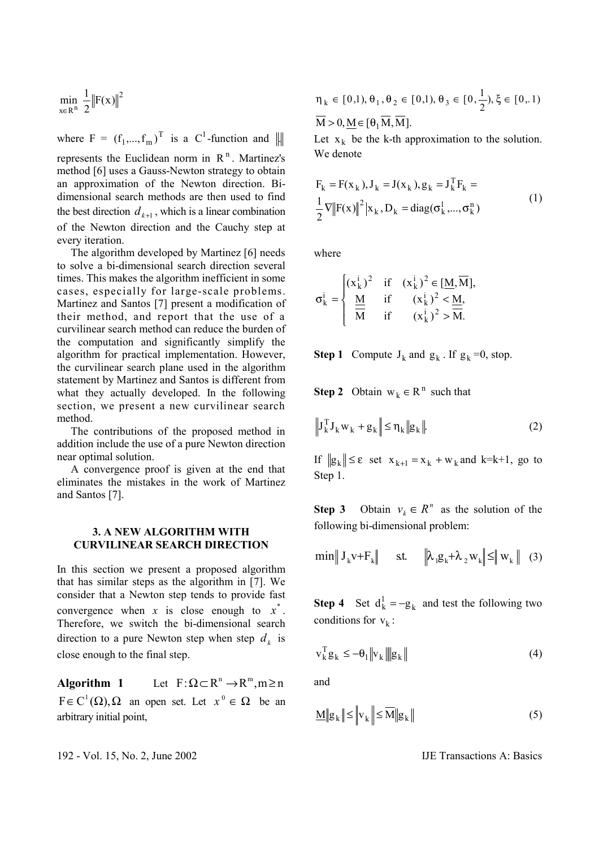$$
\min_{x\in R^n}\,\frac{1}{2}\big\|F(x)\big\|^2
$$

where  $F = (f_1, ..., f_m)^T$  is a  $C^1$ -function and  $\| \cdot \|$ 

represents the Euclidean norm in  $R<sup>n</sup>$ . Martinez's method [6] uses a Gauss-Newton strategy to obtain an approximation of the Newton direction. Bidimensional search methods are then used to find the best direction  $d_{k+1}$ , which is a linear combination of the Newton direction and the Cauchy step at every iteration.

 The algorithm developed by Martinez [6] needs to solve a bi-dimensional search direction several times. This makes the algorithm inefficient in some cases, especially for large-scale problems. Martinez and Santos [7] present a modification of their method, and report that the use of a curvilinear search method can reduce the burden of the computation and significantly simplify the algorithm for practical implementation. However, the curvilinear search plane used in the algorithm statement by Martinez and Santos is different from what they actually developed. In the following section, we present a new curvilinear search method.

 The contributions of the proposed method in addition include the use of a pure Newton direction near optimal solution.

 A convergence proof is given at the end that eliminates the mistakes in the work of Martinez and Santos [7].

### **3. A NEW ALGORITHM WITH CURVILINEAR SEARCH DIRECTION**

In this section we present a proposed algorithm that has similar steps as the algorithm in [7]. We consider that a Newton step tends to provide fast convergence when *x* is close enough to  $x^*$ . Therefore, we switch the bi-dimensional search direction to a pure Newton step when step  $d_k$  is close enough to the final step.

**Algorithm 1** Let  $F: \Omega \subset \mathbb{R}^n \to \mathbb{R}^m, m \ge n$  $F \in C^1(\Omega), \Omega$  an open set. Let  $x^0 \in \Omega$  be an arbitrary initial point,

$$
\eta_{k} \in [0,1), \theta_{1}, \theta_{2} \in [0,1), \theta_{3} \in [0, \frac{1}{2}), \xi \in [0,1)
$$
  

$$
\overline{M} > 0, \underline{M} \in [\theta_{1} \overline{M}, \overline{M}].
$$

Let  $x_k$  be the k-th approximation to the solution. We denote

$$
F_k = F(x_k), J_k = J(x_k), g_k = J_k^T F_k =
$$
  
\n
$$
\frac{1}{2} \nabla ||F(x)||^2 |x_k, D_k = \text{diag}(\sigma_k^1, ..., \sigma_k^n)
$$
\n(1)

where

$$
\sigma_{k}^{i} = \begin{cases} (x_{k}^{i})^{2} & \text{if } (x_{k}^{i})^{2} \in [\underline{M}, \overline{M}], \\ \frac{\underline{M}}{\overline{M}} & \text{if } (x_{k}^{i})^{2} < \underline{M}, \\ \overline{M} & \text{if } (x_{k}^{i})^{2} > \overline{M}. \end{cases}
$$

**Step 1** Compute  $J_k$  and  $g_k$ . If  $g_k = 0$ , stop.

**Step 2** Obtain  $w_k \in R^n$  such that

$$
\left\| \mathbf{J}_{k}^{\mathrm{T}} \mathbf{J}_{k} \mathbf{w}_{k} + \mathbf{g}_{k} \right\| \leq \eta_{k} \|\mathbf{g}_{k}\|.
$$
 (2)

If  $||g_k|| \le \varepsilon$  set  $x_{k+1} = x_k + w_k$  and k=k+1, go to Step 1.

**Step 3** Obtain  $v_k \in R^n$  as the solution of the following bi-dimensional problem:

$$
\min \| \mathbf{J}_{k} \mathbf{v} + \mathbf{F}_{k} \| \quad \text{st.} \quad \left\| \lambda_{1} \mathbf{g}_{k} + \lambda_{2} \mathbf{w}_{k} \right\| \leq \| \mathbf{w}_{k} \| \quad (3)
$$

**Step 4** Set  $d_k^1 = -g_k$  and test the following two conditions for  $v_k$ :

$$
\mathbf{v}_{k}^{\mathrm{T}}\mathbf{g}_{k} \leq -\boldsymbol{\theta}_{1} \|\mathbf{v}_{k}\| \|\mathbf{g}_{k}\| \tag{4}
$$

and

$$
\underline{\mathbf{M}} \|\mathbf{g}_{k}\| \leq \|\mathbf{v}_{k}\| \leq \overline{\mathbf{M}} \|\mathbf{g}_{k}\| \tag{5}
$$

192 - Vol. 15, No. 2, June 2002 IJE Transactions A: Basics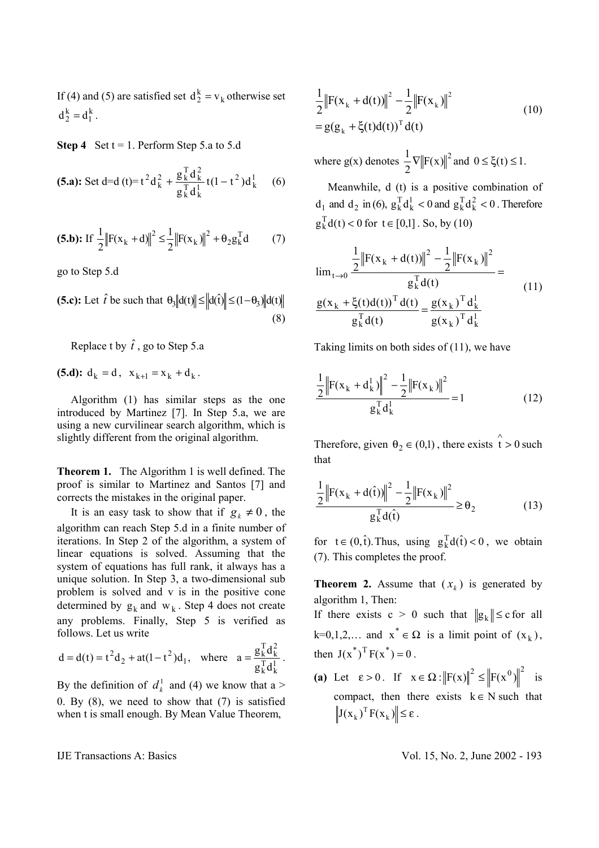If (4) and (5) are satisfied set  $d_2^k = v_k$  otherwise set  $d_2^k = d_1^k$ .

**Step 4** Set  $t = 1$ . Perform Step 5.a to 5.d

(5.a): Set d=d(t)=t<sup>2</sup>d<sub>k</sub><sup>2</sup> + 
$$
\frac{g_k^T d_k^2}{g_k^T d_k^1}
$$
t(1-t<sup>2</sup>)d<sub>k</sub><sup>1</sup> (6)

(5.b): If 
$$
\frac{1}{2} ||F(x_k + d)||^2 \le \frac{1}{2} ||F(x_k)||^2 + \theta_2 g_k^T d
$$
 (7)

go to Step 5.d

**(5.c):** Let  $\hat{t}$  be such that  $\theta_3 \text{d}(t) \le \text{d}(t) \le (1 - \theta_3) \text{d}(t)$ (8)

Replace t by  $\hat{t}$ , go to Step 5.a

**(5.d):**  $d_k = d$ ,  $x_{k+1} = x_k + d_k$ .

 Algorithm (1) has similar steps as the one introduced by Martinez [7]. In Step 5.a, we are using a new curvilinear search algorithm, which is slightly different from the original algorithm.

**Theorem 1.** The Algorithm 1 is well defined. The proof is similar to Martinez and Santos [7] and corrects the mistakes in the original paper.

It is an easy task to show that if  $g_k \neq 0$ , the algorithm can reach Step 5.d in a finite number of iterations. In Step 2 of the algorithm, a system of linear equations is solved. Assuming that the system of equations has full rank, it always has a unique solution. In Step 3, a two-dimensional sub problem is solved and v is in the positive cone determined by  $g_k$  and  $w_k$ . Step 4 does not create any problems. Finally, Step 5 is verified as follows. Let us write

$$
d = d(t) = t^2 d_2 + at(1 - t^2) d_1
$$
, where  $a = \frac{g_k^T d_k^2}{g_k^T d_k^1}$ .

By the definition of  $d_k^1$  and (4) we know that a > 0. By (8), we need to show that (7) is satisfied when t is small enough. By Mean Value Theorem,

$$
\frac{1}{2} \left\| F(x_k + d(t)) \right\|^2 - \frac{1}{2} \left\| F(x_k) \right\|^2
$$
  
=  $g(g_k + \xi(t) d(t))^T d(t)$  (10)

where  $g(x)$  denotes  $\frac{1}{2} \nabla ||F(x)||^2$  and  $0 \le \xi(t) \le 1$ .

 Meanwhile, d (t) is a positive combination of  $d_1$  and  $d_2$  in (6),  $g_k^T d_k^1 < 0$  and  $g_k^T d_k^2 < 0$ . Therefore  $g_k^T d(t) < 0$  for  $t \in [0,1]$ . So, by (10)

$$
\lim_{t \to 0} \frac{\frac{1}{2} \|F(x_k + d(t))\|^2 - \frac{1}{2} \|F(x_k)\|^2}{g_k^T d(t)} = \frac{g(x_k + \xi(t) d(t))^T d(t)}{g_k^T d(t)} = \frac{g(x_k)^T d_k^T}{g(x_k)^T d_k^T}
$$
\n(11)

Taking limits on both sides of (11), we have

$$
\frac{\frac{1}{2} \left\| F(x_k + d_k^1) \right\|^2 - \frac{1}{2} \left\| F(x_k) \right\|^2}{g_k^T d_k^1} = 1
$$
 (12)

Therefore, given  $\theta_2 \in (0,1)$ , there exists  $\hat{t} > 0$ such that

$$
\frac{\frac{1}{2} \|F(x_k + d(\hat{t}))\|^2 - \frac{1}{2} \|F(x_k)\|^2}{g_k^T d(\hat{t})} \ge \theta_2
$$
\n(13)

for  $t \in (0, \hat{t})$ . Thus, using  $g_k^T d(\hat{t}) < 0$ , we obtain (7). This completes the proof.

**Theorem 2.** Assume that  $(x_k)$  is generated by algorithm 1, Then: If there exists  $c > 0$  such that  $||g_k|| \leq c$  for all  $k=0,1,2,...$  and  $x^* \in \Omega$  is a limit point of  $(x_k)$ , then  $J(x^*)^T F(x^*) = 0$ .

**(a)** Let  $\varepsilon > 0$ . If  $x \in \Omega : ||F(x)||^2 \le ||F(x^0)||^2$  is compact, then there exists  $k \in N$  such that  $J(x_k)^T F(x_k) \leq \varepsilon$ .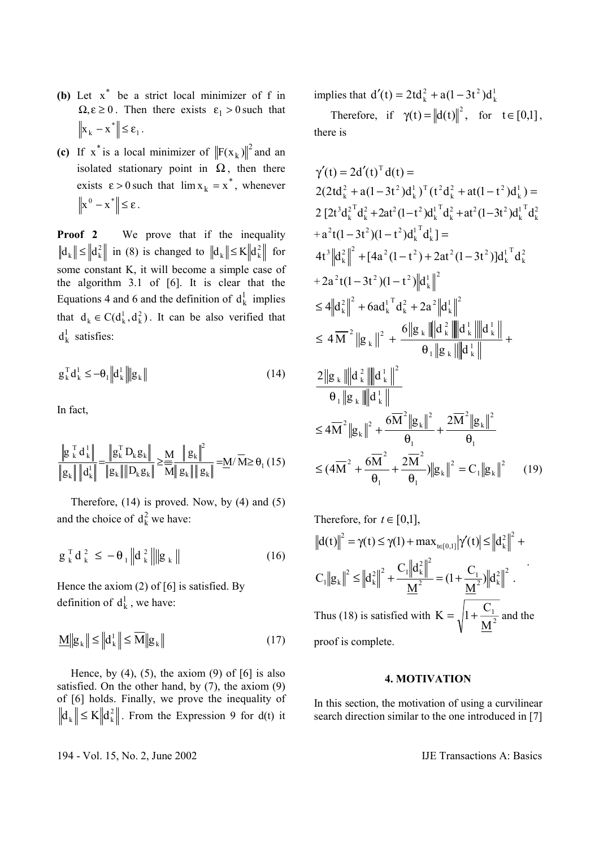- **(b)** Let  $x^*$  be a strict local minimizer of f in  $\Omega, \varepsilon \ge 0$ . Then there exists  $\varepsilon_1 > 0$  such that  $\mathbf{x}_{k} - \mathbf{x}^{*} \leq \varepsilon_{1}.$
- (c) If  $x^*$  is a local minimizer of  $||F(x_k)||^2$  and an isolated stationary point in  $\Omega$ , then there exists  $\varepsilon > 0$  such that  $\lim x_k = x^*$ , whenever  $\left\|x^0 - x^*\right\| \leq \varepsilon$ .

**Proof 2** We prove that if the inequality  $\|\mathbf{d}_k\| \le \|\mathbf{d}_k^2\|$  in (8) is changed to  $\|\mathbf{d}_k\| \le K \|\mathbf{d}_k^2\|$  for some constant K, it will become a simple case of the algorithm 3.1 of [6]. It is clear that the Equations 4 and 6 and the definition of  $d_k^1$  implies that  $d_k \in C(d_k^1, d_k^2)$ . It can be also verified that  $d_k^1$  satisfies:

$$
\mathbf{g}_{k}^{\mathrm{T}} \mathbf{d}_{k}^{1} \leq -\theta_{1} \left\| \mathbf{d}_{k}^{1} \right\| \left\| \mathbf{g}_{k} \right\| \tag{14}
$$

In fact,

$$
\frac{\left\|g_{k}^{T}d_{k}^{1}\right\|}{\left\|g_{k}\right\|\left\|d_{k}^{1}\right\|}=\frac{\left\|g_{k}^{T}D_{k}g_{k}\right\|}{\left\|g_{k}\right\|\left\|D_{k}g_{k}\right\|}\geq\frac{M}{M}\frac{\left\|g_{k}\right\|^{2}}{\left\|g_{k}\right\|\left\|g_{k}\right\|}=\underline{M}/\overline{M}\geq\theta_{1}\left(15\right)
$$

 Therefore, (14) is proved. Now, by (4) and (5) and the choice of  $d_k^2$  we have:

$$
g_{k}^{T} d_{k}^{2} \leq -\theta_{1} \left\| d_{k}^{2} \right\| \left\| g_{k} \right\|
$$
 (16)

Hence the axiom (2) of [6] is satisfied. By definition of  $d_k^1$ , we have:

$$
\underline{\mathbf{M}} \|\mathbf{g}_{k}\| \le \left\| \mathbf{d}_{k}^{1} \right\| \le \overline{\mathbf{M}} \|\mathbf{g}_{k}\| \tag{17}
$$

Hence, by  $(4)$ ,  $(5)$ , the axiom  $(9)$  of  $[6]$  is also satisfied. On the other hand, by (7), the axiom (9) of [6] holds. Finally, we prove the inequality of  $\|\mathbf{d}_k\| \leq K \|\mathbf{d}_k^2\|$ . From the Expression 9 for d(t) it

implies that  $d'(t) = 2td_k^2 + a(1-3t^2)d_k^1$  $d'(t) = 2td<sub>k</sub><sup>2</sup> + a(1-3t<sup>2</sup>)dt$ 

Therefore, if  $\gamma(t) = ||d(t)||^2$ , for  $t \in [0,1]$ , there is

$$
\gamma'(t) = 2d'(t)^{T} d(t) =
$$
  
\n
$$
2(2td_{k}^{2} + a(1-3t^{2})d_{k}^{T})^{T} (t^{2}d_{k}^{2} + at(1-t^{2})d_{k}^{T}) =
$$
  
\n
$$
2 [2t^{3}d_{k}^{2^{T}}d_{k}^{2} + 2at^{2}(1-t^{2})d_{k}^{T}d_{k}^{2} + at^{2}(1-3t^{2})d_{k}^{T}d_{k}^{2}
$$
  
\n
$$
+ a^{2}t(1-3t^{2})(1-t^{2})d_{k}^{T}d_{k}^{T} =
$$
  
\n
$$
4t^{3} ||d_{k}^{2}||^{2} + [4a^{2}(1-t^{2}) + 2at^{2}(1-3t^{2})]d_{k}^{T}d_{k}^{2}
$$
  
\n
$$
+ 2a^{2}t(1-3t^{2})(1-t^{2}) ||d_{k}^{T}||^{2}
$$
  
\n
$$
\leq 4||d_{k}^{2}||^{2} + 6ad_{k}^{T}d_{k}^{2} + 2a^{2} ||d_{k}^{T}||^{2}
$$
  
\n
$$
\leq 4\overline{M}^{2} ||g_{k}||^{2} + \frac{6||g_{k}|| ||d_{k}^{2}|| ||d_{k}^{T}||}{\theta_{1} ||g_{k}|| ||d_{k}^{T}||} +
$$
  
\n
$$
2||g_{k}|| ||d_{k}^{2}|| ||d_{k}^{T}||
$$
  
\n
$$
\theta_{1} ||g_{k}|| ||d_{k}^{T}||
$$
  
\n
$$
\leq 4\overline{M}^{2} ||g_{k}||^{2} + \frac{6\overline{M}^{2} ||g_{k}||^{2}}{\theta_{1}} + \frac{2\overline{M}^{2} ||g_{k}||^{2}}{\theta_{1}}
$$
  
\n
$$
\leq 4\overline{M}^{2} ||g_{k}||^{2} + \frac{6\overline{M}^{2} ||g_{k}||^{2}}{\theta_{1}} + \frac{2\overline{M}^{2} ||g_{k}||^{2}}{\theta_{1}}
$$
  
\n
$$
\leq (4\overline{M}^{2} + \frac{6\
$$

Therefore, for 
$$
t \in [0,1]
$$
,  
\n
$$
||d(t)||^2 = \gamma(t) \le \gamma(1) + \max_{t \in [0,1]} |\gamma'(t)| \le ||d_k^2||^2 + C_1 ||g_k||^2 \le ||d_k^2||^2 + \frac{C_1 ||d_k^2||^2}{\underline{M}^2} = (1 + \frac{C_1}{\underline{M}^2}) ||d_k^2||^2.
$$
\nThus (18) is satisfied with  $K = \sqrt{1 + \frac{C_1}{\underline{M}^2}}$  and the proof is complete.

# **4. MOTIVATION**

In this section, the motivation of using a curvilinear search direction similar to the one introduced in [7]

194 - Vol. 15, No. 2, June 2002 IJE Transactions A: Basics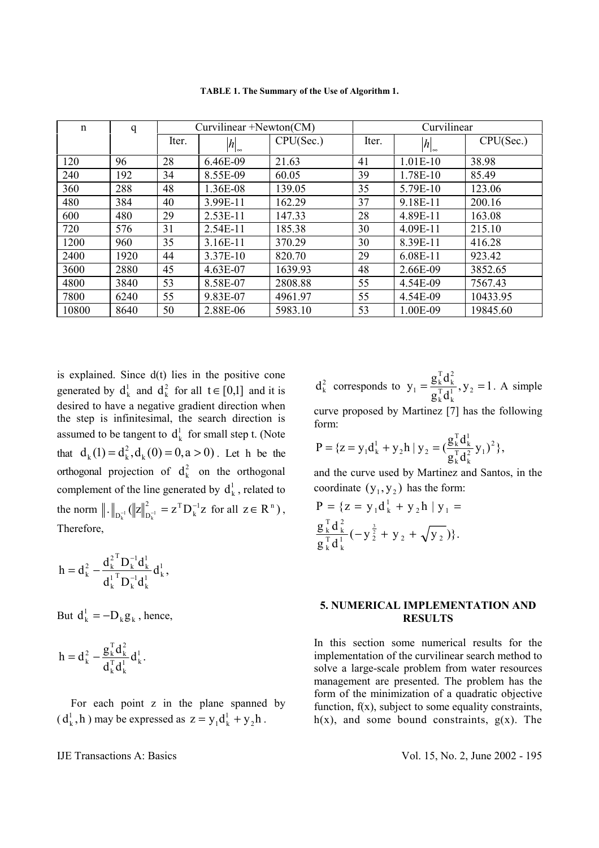| $\mathbf n$ | q    | Curvilinear +Newton(CM) |                |           | Curvilinear |                |           |
|-------------|------|-------------------------|----------------|-----------|-------------|----------------|-----------|
|             |      | Iter.                   | $ h _{\infty}$ | CPU(Sec.) | Iter.       | $ h _{\infty}$ | CPU(Sec.) |
| 120         | 96   | 28                      | 6.46E-09       | 21.63     | 41          | $1.01E-10$     | 38.98     |
| 240         | 192  | 34                      | 8.55E-09       | 60.05     | 39          | 1.78E-10       | 85.49     |
| 360         | 288  | 48                      | 1.36E-08       | 139.05    | 35          | 5.79E-10       | 123.06    |
| 480         | 384  | 40                      | 3.99E-11       | 162.29    | 37          | 9.18E-11       | 200.16    |
| 600         | 480  | 29                      | 2.53E-11       | 147.33    | 28          | 4.89E-11       | 163.08    |
| 720         | 576  | 31                      | 2.54E-11       | 185.38    | 30          | 4.09E-11       | 215.10    |
| 1200        | 960  | 35                      | 3.16E-11       | 370.29    | 30          | 8.39E-11       | 416.28    |
| 2400        | 1920 | 44                      | 3.37E-10       | 820.70    | 29          | 6.08E-11       | 923.42    |
| 3600        | 2880 | 45                      | 4.63E-07       | 1639.93   | 48          | 2.66E-09       | 3852.65   |
| 4800        | 3840 | 53                      | 8.58E-07       | 2808.88   | 55          | 4.54E-09       | 7567.43   |
| 7800        | 6240 | 55                      | 9.83E-07       | 4961.97   | 55          | 4.54E-09       | 10433.95  |
| 10800       | 8640 | 50                      | 2.88E-06       | 5983.10   | 53          | 1.00E-09       | 19845.60  |

**TABLE 1. The Summary of the Use of Algorithm 1.** 

is explained. Since  $d(t)$  lies in the positive cone generated by  $d_k^1$  and  $d_k^2$  for all  $t \in [0,1]$  and it is desired to have a negative gradient direction when the step is infinitesimal, the search direction is assumed to be tangent to  $\mathbf{d}_{k}^{1}$  for small step t. (Note that  $d_k(1) = d_k^2, d_k(0) = 0, a > 0$ . Let h be the orthogonal projection of  $d_k^2$  on the orthogonal complement of the line generated by  $d_k^1$ , related to the norm  $\|.\|_{\mathbb{R}^{-1}} (\|z\|_{\mathbb{R}^{-1}}^2 = z^{\mathrm{T}} D_k^{-1} z)$ k <sup>2</sup>  $\overline{a}$ <sup>T</sup>  $D_k^{-1}$   $\left\| \cdot \right\|$   $D_k^{-1}$  $_{-1}$  (||z|| $_{\mathbf{D}_{\mathbf{C}}^{-1}}^{2}$  =  $\mathbf{Z}^{\mathrm{T}} \mathbf{D}_{\mathbf{k}}^{-1} \mathbf{Z}$  for all  $\mathbf{Z} \in \mathbf{R}^{n}$ ), Therefore,

$$
h=d_{\mathrm{k}}^{2}-\frac{d_{\mathrm{k}}^{2^{\mathrm{T}}}D_{\mathrm{k}}^{-1}d_{\mathrm{k}}^{1}}{d_{\mathrm{k}}^{1^{\mathrm{T}}}D_{\mathrm{k}}^{-1}d_{\mathrm{k}}^{1}}d_{\mathrm{k}}^{1}\,,
$$

But  $d_k^1 = -D_k g_k$ , hence,

$$
h = d_k^2 - \frac{g_k^T d_k^2}{d_k^T d_k^1} d_k^1.
$$

 For each point z in the plane spanned by  $(d_k^1, h)$  may be expressed as  $z = y_1 d_k^1 + y_2 h$ .

 $d_k^2$  corresponds to  $y_1 = \frac{g_k \mathbf{u}_k}{g_k^T d_k^1}, y_2 = 1$  $y_1 = \frac{g_k^T d_k^2}{g_k^T d_k^T}$ ,  $y_2$ k T k 2 k T  $y_1 = \frac{g_k u_k}{T_1}$ ,  $y_2 = 1$ . A simple

curve proposed by Martinez [7] has the following form:

$$
P = \{ z = y_1 d_k^1 + y_2 h \mid y_2 = \left( \frac{g_k^T d_k^1}{g_k^T d_k^2} y_1 \right)^2 \},
$$

and the curve used by Martinez and Santos, in the coordinate  $(y_1, y_2)$  has the form:

$$
P = \{ z = y_1 d_k^1 + y_2 h | y_1 = \frac{g_k^T d_k^2}{g_k^T d_k^T} (-y_2^{\frac{3}{2}} + y_2 + \sqrt{y_2}) \}.
$$

# **5. NUMERICAL IMPLEMENTATION AND RESULTS**

In this section some numerical results for the implementation of the curvilinear search method to solve a large-scale problem from water resources management are presented. The problem has the form of the minimization of a quadratic objective function,  $f(x)$ , subject to some equality constraints,  $h(x)$ , and some bound constraints,  $g(x)$ . The

#### IJE Transactions A: Basics Vol. 15, No. 2, June 2002 - 195